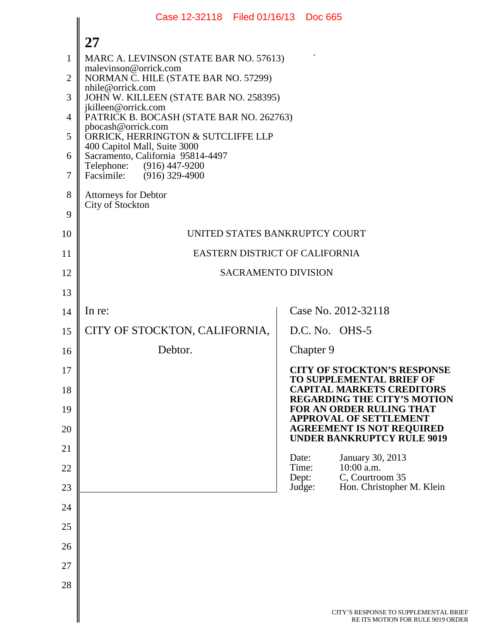|                | Case 12-32118 Filed 01/16/13 Doc 665                              |                |           |                                                                        |
|----------------|-------------------------------------------------------------------|----------------|-----------|------------------------------------------------------------------------|
|                | 27                                                                |                |           |                                                                        |
| 1              | MARC A. LEVINSON (STATE BAR NO. 57613)                            |                |           |                                                                        |
| $\overline{2}$ | malevinson@orrick.com<br>NORMAN C. HILE (STATE BAR NO. 57299)     |                |           |                                                                        |
| 3              | nhile@orrick.com<br>JOHN W. KILLEEN (STATE BAR NO. 258395)        |                |           |                                                                        |
| $\overline{4}$ | jkilleen@orrick.com<br>PATRICK B. BOCASH (STATE BAR NO. 262763)   |                |           |                                                                        |
| 5              | pbocash@orrick.com<br>ORRICK, HERRINGTON & SUTCLIFFE LLP          |                |           |                                                                        |
| 6              | 400 Capitol Mall, Suite 3000<br>Sacramento, California 95814-4497 |                |           |                                                                        |
| $\overline{7}$ | Telephone: (916) 447-9200<br>Facsimile: (916) 329-4900            |                |           |                                                                        |
| 8              | <b>Attorneys for Debtor</b>                                       |                |           |                                                                        |
| 9              | City of Stockton                                                  |                |           |                                                                        |
| 10             | UNITED STATES BANKRUPTCY COURT                                    |                |           |                                                                        |
| 11             | EASTERN DISTRICT OF CALIFORNIA                                    |                |           |                                                                        |
| 12             | <b>SACRAMENTO DIVISION</b>                                        |                |           |                                                                        |
| 13             |                                                                   |                |           |                                                                        |
| 14             | In re:                                                            |                |           | Case No. 2012-32118                                                    |
| 15             | CITY OF STOCKTON, CALIFORNIA,                                     |                |           | D.C. No. OHS-5                                                         |
| 16             | Debtor.                                                           |                | Chapter 9 |                                                                        |
| 17             |                                                                   |                |           | <b>CITY OF STOCKTON'S RESPONSE</b><br>TO SUPPLEMENTAL BRIEF OF         |
| 18             |                                                                   |                |           | <b>CAPITAL MARKETS CREDITORS</b><br><b>REGARDING THE CITY'S MOTION</b> |
| 19             |                                                                   |                |           | FOR AN ORDER RULING THAT<br><b>APPROVAL OF SETTLEMENT</b>              |
| 20             |                                                                   |                |           | <b>AGREEMENT IS NOT REQUIRED</b><br><b>UNDER BANKRUPTCY RULE 9019</b>  |
| 21             |                                                                   | Date:          |           | January 30, 2013                                                       |
| 22             |                                                                   | Time:<br>Dept: |           | 10:00 a.m.<br>C, Courtroom 35                                          |
| 23             |                                                                   |                | Judge:    | Hon. Christopher M. Klein                                              |
| 24             |                                                                   |                |           |                                                                        |
| 25             |                                                                   |                |           |                                                                        |
| 26             |                                                                   |                |           |                                                                        |
| 27             |                                                                   |                |           |                                                                        |
| 28             |                                                                   |                |           |                                                                        |
|                |                                                                   |                |           | CITY'S RESPONSE TO SUPPLEMENTAL B<br>RE ITS MOTION FOR RULE 9019 OR    |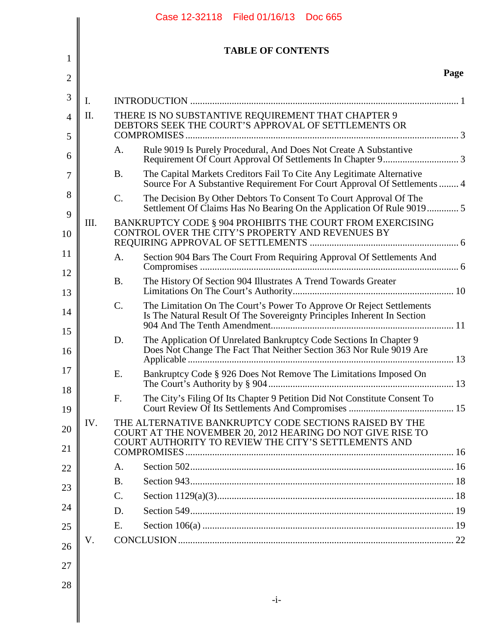|      | <b>TABLE OF CONTENTS</b>                                                                                                                                                     |      |
|------|------------------------------------------------------------------------------------------------------------------------------------------------------------------------------|------|
|      |                                                                                                                                                                              | Page |
| I.   |                                                                                                                                                                              |      |
| II.  | THERE IS NO SUBSTANTIVE REQUIREMENT THAT CHAPTER 9<br>DEBTORS SEEK THE COURT'S APPROVAL OF SETTLEMENTS OR                                                                    |      |
|      |                                                                                                                                                                              |      |
|      | Rule 9019 Is Purely Procedural, And Does Not Create A Substantive<br>A.                                                                                                      |      |
|      | The Capital Markets Creditors Fail To Cite Any Legitimate Alternative<br><b>B.</b><br>Source For A Substantive Requirement For Court Approval Of Settlements  4              |      |
|      | C.<br>The Decision By Other Debtors To Consent To Court Approval Of The                                                                                                      |      |
| III. | BANKRUPTCY CODE § 904 PROHIBITS THE COURT FROM EXERCISING<br>CONTROL OVER THE CITY'S PROPERTY AND REVENUES BY                                                                |      |
|      | Section 904 Bars The Court From Requiring Approval Of Settlements And<br>A.                                                                                                  |      |
|      | The History Of Section 904 Illustrates A Trend Towards Greater<br><b>B.</b>                                                                                                  |      |
|      | C.<br>The Limitation On The Court's Power To Approve Or Reject Settlements<br>Is The Natural Result Of The Sovereignty Principles Inherent In Section                        |      |
|      | D.<br>The Application Of Unrelated Bankruptcy Code Sections In Chapter 9<br>Does Not Change The Fact That Neither Section 363 Nor Rule 9019 Are                              |      |
|      | Bankruptcy Code § 926 Does Not Remove The Limitations Imposed On<br>Е.                                                                                                       |      |
|      | The City's Filing Of Its Chapter 9 Petition Did Not Constitute Consent To<br>F.                                                                                              |      |
| IV.  | THE ALTERNATIVE BANKRUPTCY CODE SECTIONS RAISED BY THE<br>COURT AT THE NOVEMBER 20, 2012 HEARING DO NOT GIVE RISE TO<br>COURT AUTHORITY TO REVIEW THE CITY'S SETTLEMENTS AND |      |
|      |                                                                                                                                                                              |      |
|      | A.                                                                                                                                                                           |      |
|      | <b>B.</b>                                                                                                                                                                    |      |
|      | C.                                                                                                                                                                           |      |
|      | D.                                                                                                                                                                           |      |
|      | E.                                                                                                                                                                           |      |
| V.   |                                                                                                                                                                              |      |
|      |                                                                                                                                                                              |      |
|      |                                                                                                                                                                              |      |
|      | $-i-$                                                                                                                                                                        |      |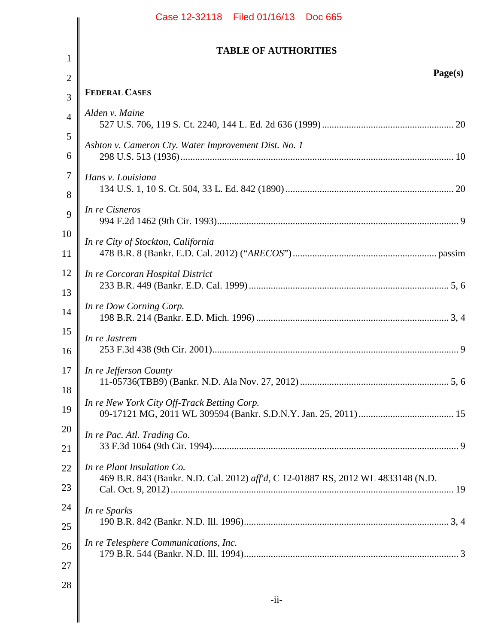|                     | Case 12-32118 Filed 01/16/13 Doc 665                                                                           |
|---------------------|----------------------------------------------------------------------------------------------------------------|
|                     | <b>TABLE OF AUTHORITIES</b>                                                                                    |
| $\mathbf{1}$        | Page(s)                                                                                                        |
| $\overline{2}$<br>3 | <b>FEDERAL CASES</b>                                                                                           |
| $\overline{4}$      | Alden v. Maine                                                                                                 |
| 5                   |                                                                                                                |
| 6                   | Ashton v. Cameron Cty. Water Improvement Dist. No. 1                                                           |
| $\overline{7}$<br>8 | Hans v. Louisiana                                                                                              |
| 9                   | In re Cisneros                                                                                                 |
| 10<br>11            | In re City of Stockton, California                                                                             |
| 12<br>13            | In re Corcoran Hospital District                                                                               |
| 14                  | In re Dow Corning Corp.                                                                                        |
| 15<br>16            | In re Jastrem                                                                                                  |
| 17<br>18            | In re Jefferson County                                                                                         |
| 19                  | In re New York City Off-Track Betting Corp.                                                                    |
| 20<br>21            | In re Pac. Atl. Trading Co.                                                                                    |
| 22<br>23            | In re Plant Insulation Co.<br>469 B.R. 843 (Bankr. N.D. Cal. 2012) aff'd, C 12-01887 RS, 2012 WL 4833148 (N.D. |
| 24<br>25            | In re Sparks                                                                                                   |
| 26<br>27            | In re Telesphere Communications, Inc.                                                                          |
| 28                  | $-i$ i-                                                                                                        |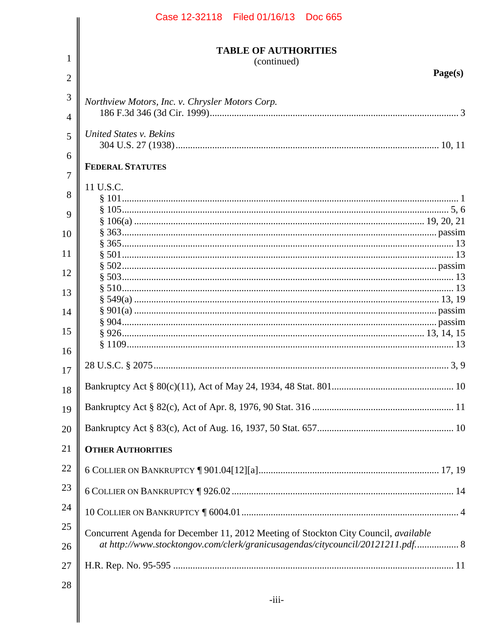|                | Case 12-32118 Filed 01/16/13 Doc 665                                                |
|----------------|-------------------------------------------------------------------------------------|
| 1              | <b>TABLE OF AUTHORITIES</b>                                                         |
|                | (continued)<br>Page(s)                                                              |
| $\overline{2}$ |                                                                                     |
| 3              | Northview Motors, Inc. v. Chrysler Motors Corp.                                     |
| $\overline{4}$ |                                                                                     |
| 5              | <b>United States v. Bekins</b>                                                      |
|                |                                                                                     |
| 6              | <b>FEDERAL STATUTES</b>                                                             |
| 7              |                                                                                     |
| 8              | 11 U.S.C.                                                                           |
| 9              |                                                                                     |
|                |                                                                                     |
| 10             |                                                                                     |
| 11             |                                                                                     |
|                |                                                                                     |
| 12             |                                                                                     |
| 13             |                                                                                     |
| 14             |                                                                                     |
|                |                                                                                     |
| 15             |                                                                                     |
| 16             |                                                                                     |
| 17             |                                                                                     |
| 18             |                                                                                     |
| 19             |                                                                                     |
| 20             |                                                                                     |
| 21             | <b>OTHER AUTHORITIES</b>                                                            |
| 22             |                                                                                     |
| 23             |                                                                                     |
| 24             |                                                                                     |
|                |                                                                                     |
| 25             | Concurrent Agenda for December 11, 2012 Meeting of Stockton City Council, available |
| 26             | at http://www.stocktongov.com/clerk/granicusagendas/citycouncil/20121211.pdf 8      |
| 27             |                                                                                     |
| 28             |                                                                                     |
|                | $-iii-$                                                                             |
|                |                                                                                     |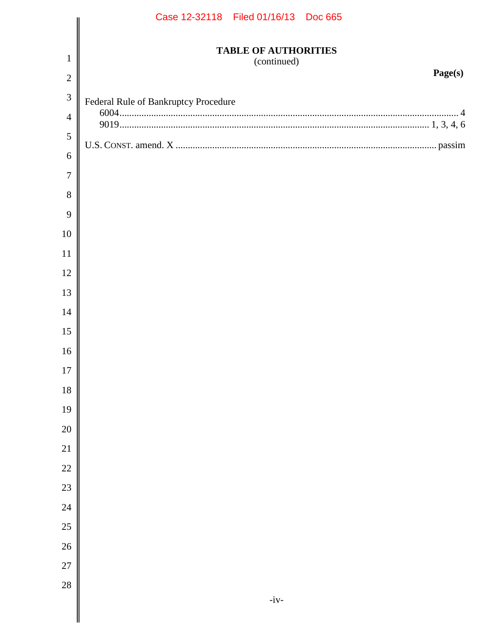|                | Case 12-32118 Filed 01/16/13 Doc 665       |
|----------------|--------------------------------------------|
| $\mathbf{1}$   | <b>TABLE OF AUTHORITIES</b><br>(continued) |
| $\overline{2}$ | Page(s)                                    |
| 3              | Federal Rule of Bankruptcy Procedure       |
| $\overline{4}$ |                                            |
| $\mathfrak{S}$ |                                            |
| 6              |                                            |
| $\tau$         |                                            |
| 8              |                                            |
| 9              |                                            |
| 10             |                                            |
| 11             |                                            |
| 12             |                                            |
| 13             |                                            |
| 14             |                                            |
| 15             |                                            |
| 16             |                                            |
| 17             |                                            |
| $18\,$         |                                            |
| 19             |                                            |
| $20\,$         |                                            |
| 21             |                                            |
| 22             |                                            |
| 23             |                                            |
| $24\,$         |                                            |
| 25             |                                            |
| 26             |                                            |
| <b>27</b>      |                                            |
| $28\,$         |                                            |
|                | $-iv-$                                     |
|                |                                            |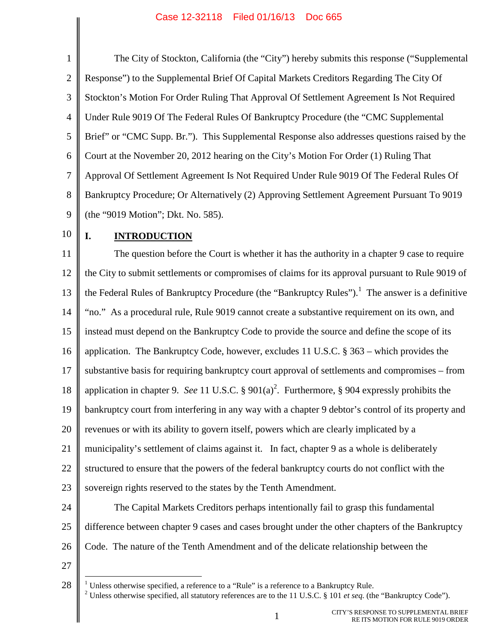<span id="page-5-3"></span>1 2 3 4 5 6 7 8 9 The City of Stockton, California (the "City") hereby submits this response ("Supplemental Response") to the Supplemental Brief Of Capital Markets Creditors Regarding The City Of Stockton's Motion For Order Ruling That Approval Of Settlement Agreement Is Not Required Under Rule 9019 Of The Federal Rules Of Bankruptcy Procedure (the "CMC Supplemental Brief" or "CMC Supp. Br."). This Supplemental Response also addresses questions raised by the Court at the November 20, 2012 hearing on the City's Motion For Order (1) Ruling That Approval Of Settlement Agreement Is Not Required Under Rule 9019 Of The Federal Rules Of Bankruptcy Procedure; Or Alternatively (2) Approving Settlement Agreement Pursuant To 9019 (the "9019 Motion"; Dkt. No. 585).

10

## <span id="page-5-2"></span><span id="page-5-1"></span>**I. INTRODUCTION**

11 12 13 14 15 16 17 18 19 20 21 22 23 24 The question before the Court is whether it has the authority in a chapter 9 case to require the City to submit settlements or compromises of claims for its approval pursuant to Rule 9019 of the Federal Rules of Bankruptcy Procedure (the "Bankruptcy Rules").<sup>[1](#page-5-5)</sup> The answer is a definitive "no." As a procedural rule, Rule 9019 cannot create a substantive requirement on its own, and instead must depend on the Bankruptcy Code to provide the source and define the scope of its application. The Bankruptcy Code, however, excludes 11 U.S.C. § 363 – which provides the substantive basis for requiring bankruptcy court approval of settlements and compromises – from application in chapter 9. *See* 11 U.S.C. § 901(a)<sup>[2](#page-5-6)</sup>. Furthermore, § 904 expressly prohibits the bankruptcy court from interfering in any way with a chapter 9 debtor's control of its property and revenues or with its ability to govern itself, powers which are clearly implicated by a municipality's settlement of claims against it. In fact, chapter 9 as a whole is deliberately structured to ensure that the powers of the federal bankruptcy courts do not conflict with the sovereign rights reserved to the states by the Tenth Amendment. The Capital Markets Creditors perhaps intentionally fail to grasp this fundamental

<span id="page-5-4"></span>25 26 difference between chapter 9 cases and cases brought under the other chapters of the Bankruptcy Code. The nature of the Tenth Amendment and of the delicate relationship between the

<span id="page-5-6"></span><span id="page-5-5"></span><span id="page-5-0"></span><sup>28</sup>  $1$  Unless otherwise specified, a reference to a "Rule" is a reference to a Bankruptcy Rule. <sup>2</sup> Unless otherwise specified, all statutory references are to the 11 U.S.C. § 101 *et seq.* (the "Bankruptcy Code").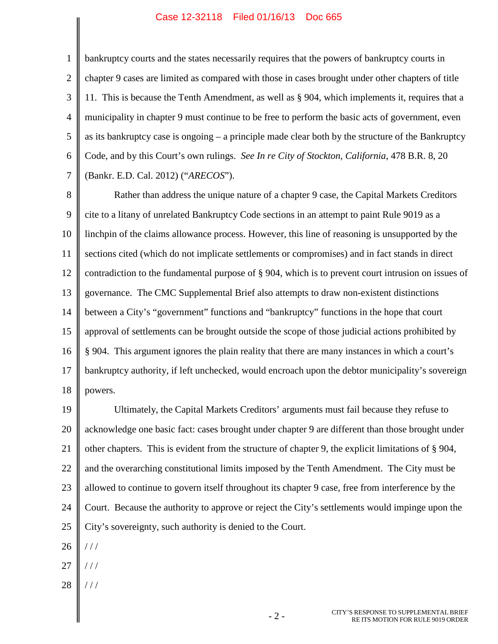1 2 3 4 5 6 7 bankruptcy courts and the states necessarily requires that the powers of bankruptcy courts in chapter 9 cases are limited as compared with those in cases brought under other chapters of title 11. This is because the Tenth Amendment, as well as § 904, which implements it, requires that a municipality in chapter 9 must continue to be free to perform the basic acts of government, even as its bankruptcy case is ongoing – a principle made clear both by the structure of the Bankruptcy Code, and by this Court's own rulings. *See In re City of Stockton, California*, 478 B.R. 8, 20 (Bankr. E.D. Cal. 2012) ("*ARECOS*").

<span id="page-6-0"></span>8 9 10 11 12 13 14 15 16 17 18 Rather than address the unique nature of a chapter 9 case, the Capital Markets Creditors cite to a litany of unrelated Bankruptcy Code sections in an attempt to paint Rule 9019 as a linchpin of the claims allowance process. However, this line of reasoning is unsupported by the sections cited (which do not implicate settlements or compromises) and in fact stands in direct contradiction to the fundamental purpose of § 904, which is to prevent court intrusion on issues of governance. The CMC Supplemental Brief also attempts to draw non-existent distinctions between a City's "government" functions and "bankruptcy" functions in the hope that court approval of settlements can be brought outside the scope of those judicial actions prohibited by § 904. This argument ignores the plain reality that there are many instances in which a court's bankruptcy authority, if left unchecked, would encroach upon the debtor municipality's sovereign powers.

19 20 21 22 23 24 25 Ultimately, the Capital Markets Creditors' arguments must fail because they refuse to acknowledge one basic fact: cases brought under chapter 9 are different than those brought under other chapters. This is evident from the structure of chapter 9, the explicit limitations of § 904, and the overarching constitutional limits imposed by the Tenth Amendment. The City must be allowed to continue to govern itself throughout its chapter 9 case, free from interference by the Court. Because the authority to approve or reject the City's settlements would impinge upon the City's sovereignty, such authority is denied to the Court.

- 26 / / /
- 27 / / /
- 28 / / /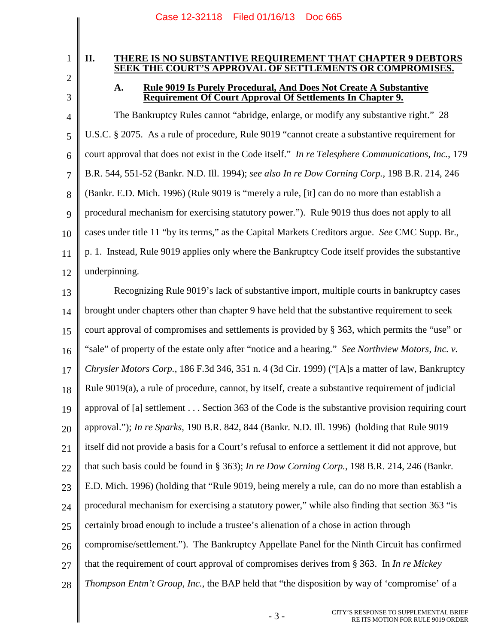# 1

2 3

### **II. THERE IS NO SUBSTANTIVE REQUIREMENT THAT CHAPTER 9 DEBTORS SEEK THE COURT'S APPROVAL OF SETTLEMENTS OR COMPROMISES.**

## <span id="page-7-5"></span><span id="page-7-4"></span><span id="page-7-2"></span><span id="page-7-0"></span>**A. Rule 9019 Is Purely Procedural, And Does Not Create A Substantive Requirement Of Court Approval Of Settlements In Chapter 9.**

4 5 6 7 8 9 10 11 12 The Bankruptcy Rules cannot "abridge, enlarge, or modify any substantive right." 28 U.S.C. § 2075. As a rule of procedure, Rule 9019 "cannot create a substantive requirement for court approval that does not exist in the Code itself." *In re Telesphere Communications, Inc.*, 179 B.R. 544, 551-52 (Bankr. N.D. Ill. 1994); *see also In re Dow Corning Corp.*, 198 B.R. 214, 246 (Bankr. E.D. Mich. 1996) (Rule 9019 is "merely a rule, [it] can do no more than establish a procedural mechanism for exercising statutory power."). Rule 9019 thus does not apply to all cases under title 11 "by its terms," as the Capital Markets Creditors argue. *See* CMC Supp. Br., p. 1. Instead, Rule 9019 applies only where the Bankruptcy Code itself provides the substantive underpinning.

<span id="page-7-3"></span><span id="page-7-1"></span>13 14 15 16 17 18 19 20 21 22 23 24 25 26 27 28 Recognizing Rule 9019's lack of substantive import, multiple courts in bankruptcy cases brought under chapters other than chapter 9 have held that the substantive requirement to seek court approval of compromises and settlements is provided by § 363, which permits the "use" or "sale" of property of the estate only after "notice and a hearing." *See Northview Motors, Inc. v. Chrysler Motors Corp.*, 186 F.3d 346, 351 n. 4 (3d Cir. 1999) ("[A]s a matter of law, Bankruptcy Rule 9019(a), a rule of procedure, cannot, by itself, create a substantive requirement of judicial approval of [a] settlement . . . Section 363 of the Code is the substantive provision requiring court approval."); *In re Sparks*, 190 B.R. 842, 844 (Bankr. N.D. Ill. 1996) (holding that Rule 9019 itself did not provide a basis for a Court's refusal to enforce a settlement it did not approve, but that such basis could be found in § 363); *In re Dow Corning Corp.*, 198 B.R. 214, 246 (Bankr. E.D. Mich. 1996) (holding that "Rule 9019, being merely a rule, can do no more than establish a procedural mechanism for exercising a statutory power," while also finding that section 363 "is certainly broad enough to include a trustee's alienation of a chose in action through compromise/settlement."). The Bankruptcy Appellate Panel for the Ninth Circuit has confirmed that the requirement of court approval of compromises derives from § 363. In *In re Mickey Thompson Entm't Group, Inc.*, the BAP held that "the disposition by way of 'compromise' of a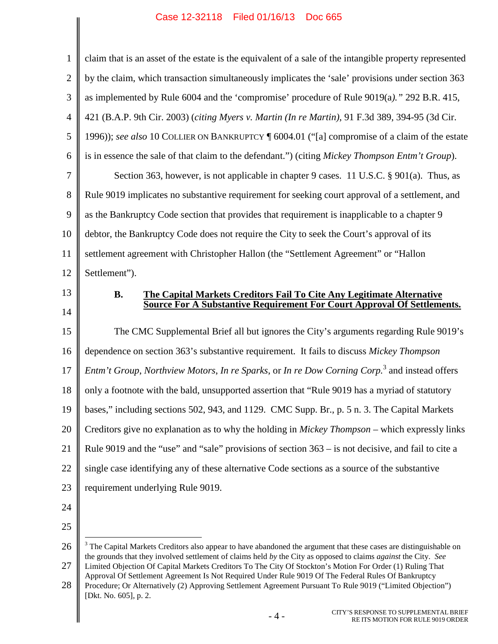<span id="page-8-3"></span><span id="page-8-2"></span>

| $\mathbf{1}$   | claim that is an asset of the estate is the equivalent of a sale of the intangible property represented  |
|----------------|----------------------------------------------------------------------------------------------------------|
| $\overline{2}$ | by the claim, which transaction simultaneously implicates the 'sale' provisions under section 363        |
| 3              | as implemented by Rule 6004 and the 'compromise' procedure of Rule 9019(a)." 292 B.R. 415,               |
| $\overline{4}$ | 421 (B.A.P. 9th Cir. 2003) (citing Myers v. Martin (In re Martin), 91 F.3d 389, 394-95 (3d Cir.          |
| 5              | 1996)); see also 10 COLLIER ON BANKRUPTCY ¶ 6004.01 ("[a] compromise of a claim of the estate            |
| 6              | is in essence the sale of that claim to the defendant.") (citing Mickey Thompson Entm't Group).          |
| 7              | Section 363, however, is not applicable in chapter 9 cases. 11 U.S.C. § 901(a). Thus, as                 |
| 8              | Rule 9019 implicates no substantive requirement for seeking court approval of a settlement, and          |
| 9              | as the Bankruptcy Code section that provides that requirement is inapplicable to a chapter 9             |
| 10             | debtor, the Bankruptcy Code does not require the City to seek the Court's approval of its                |
| 11             | settlement agreement with Christopher Hallon (the "Settlement Agreement" or "Hallon                      |
| 12             | Settlement").                                                                                            |
| 13             |                                                                                                          |
|                | The Capital Markets Creditors Fail To Cite Any Legitimate Alternative<br><b>B.</b>                       |
| 14             | Source For A Substantive Requirement For Court Approval Of Settlements.                                  |
| 15             | The CMC Supplemental Brief all but ignores the City's arguments regarding Rule 9019's                    |
| 16             | dependence on section 363's substantive requirement. It fails to discuss Mickey Thompson                 |
| 17             | Entm't Group, Northview Motors, In re Sparks, or In re Dow Corning Corp. <sup>3</sup> and instead offers |
| 18             | only a footnote with the bald, unsupported assertion that "Rule 9019 has a myriad of statutory           |
| 19             | bases," including sections 502, 943, and 1129. CMC Supp. Br., p. 5 n. 3. The Capital Markets             |
| 20             | Creditors give no explanation as to why the holding in Mickey Thompson - which expressly links           |
| 21             | Rule 9019 and the "use" and "sale" provisions of section 363 – is not decisive, and fail to cite a       |
| 22             | single case identifying any of these alternative Code sections as a source of the substantive            |
| 23             | requirement underlying Rule 9019.                                                                        |

<span id="page-8-5"></span><span id="page-8-1"></span><span id="page-8-0"></span><sup>26</sup> 27 <sup>3</sup> The Capital Markets Creditors also appear to have abandoned the argument that these cases are distinguishable on the grounds that they involved settlement of claims held *by* the City as opposed to claims *against* the City. *See* Limited Objection Of Capital Markets Creditors To The City Of Stockton's Motion For Order (1) Ruling That

<sup>28</sup> Approval Of Settlement Agreement Is Not Required Under Rule 9019 Of The Federal Rules Of Bankruptcy Procedure; Or Alternatively (2) Approving Settlement Agreement Pursuant To Rule 9019 ("Limited Objection")

<span id="page-8-4"></span><sup>[</sup>Dkt. No. 605], p. 2.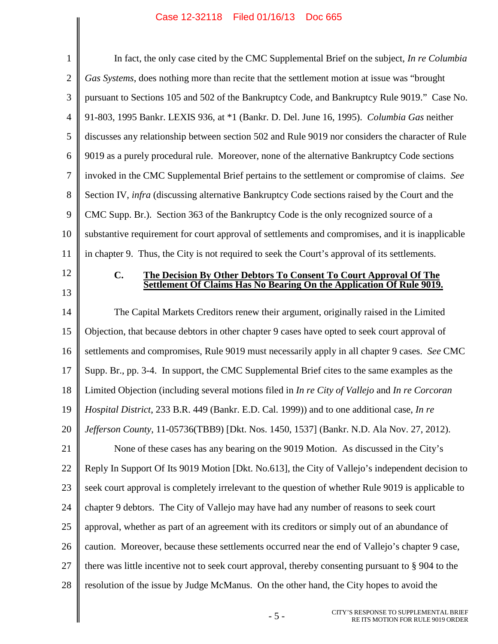$\frac{1}{2}$ 

<span id="page-9-1"></span><span id="page-9-0"></span> $\overline{\phantom{a}}$ 

| $\mathbf{1}$   | In fact, the only case cited by the CMC Supplemental Brief on the subject, In re Columbia             |
|----------------|-------------------------------------------------------------------------------------------------------|
| $\overline{2}$ | Gas Systems, does nothing more than recite that the settlement motion at issue was "brought"          |
| 3              | pursuant to Sections 105 and 502 of the Bankruptcy Code, and Bankruptcy Rule 9019." Case No.          |
| $\overline{4}$ | 91-803, 1995 Bankr. LEXIS 936, at *1 (Bankr. D. Del. June 16, 1995). Columbia Gas neither             |
| 5              | discusses any relationship between section 502 and Rule 9019 nor considers the character of Rule      |
| 6              | 9019 as a purely procedural rule. Moreover, none of the alternative Bankruptcy Code sections          |
| $\tau$         | invoked in the CMC Supplemental Brief pertains to the settlement or compromise of claims. See         |
| 8              | Section IV, <i>infra</i> (discussing alternative Bankruptcy Code sections raised by the Court and the |
| 9              | CMC Supp. Br.). Section 363 of the Bankruptcy Code is the only recognized source of a                 |
| 10             | substantive requirement for court approval of settlements and compromises, and it is inapplicable     |
| 11             | in chapter 9. Thus, the City is not required to seek the Court's approval of its settlements.         |
| 12             | C.<br>The Decision By Other Debtors To Consent To Court Approval Of The                               |
| 13             | Settlement Of Claims Has No Bearing On the Application Of Rule 9019.                                  |
| 14             | The Capital Markets Creditors renew their argument, originally raised in the Limited                  |
| 15             | Objection, that because debtors in other chapter 9 cases have opted to seek court approval of         |
| 16             | settlements and compromises, Rule 9019 must necessarily apply in all chapter 9 cases. See CMC         |
| 17             | Supp. Br., pp. 3-4. In support, the CMC Supplemental Brief cites to the same examples as the          |
| 18             | Limited Objection (including several motions filed in In re City of Vallejo and In re Corcoran        |
| 19             | Hospital District, 233 B.R. 449 (Bankr. E.D. Cal. 1999)) and to one additional case, In re            |
| 20             | Jefferson County, 11-05736(TBB9) [Dkt. Nos. 1450, 1537] (Bankr. N.D. Ala Nov. 27, 2012).              |
| 21             | None of these cases has any bearing on the 9019 Motion. As discussed in the City's                    |
| 22             | Reply In Support Of Its 9019 Motion [Dkt. No.613], the City of Vallejo's independent decision to      |
| 23             | seek court approval is completely irrelevant to the question of whether Rule 9019 is applicable to    |
| 24             | chapter 9 debtors. The City of Vallejo may have had any number of reasons to seek court               |
| 25             | approval, whether as part of an agreement with its creditors or simply out of an abundance of         |
| 26             | caution. Moreover, because these settlements occurred near the end of Vallejo's chapter 9 case,       |
| 27             | there was little incentive not to seek court approval, thereby consenting pursuant to § 904 to the    |
| 28             | resolution of the issue by Judge McManus. On the other hand, the City hopes to avoid the              |
|                | CITY'S RESPONSE TO SUPPLEMENTAL BRIEF<br>$-5-$<br>RE ITS MOTION FOR RULE 9019 ORDER                   |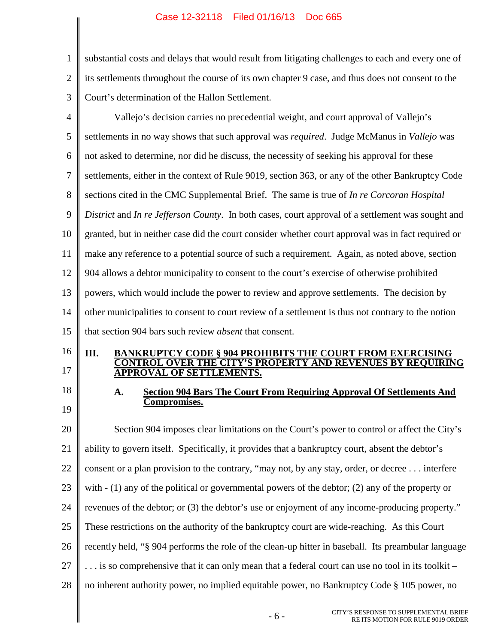<span id="page-10-3"></span><span id="page-10-2"></span><span id="page-10-1"></span><span id="page-10-0"></span>

| 1                    | substantial costs and delays that would result from litigating challenges to each and every one of       |
|----------------------|----------------------------------------------------------------------------------------------------------|
| $\overline{2}$       | its settlements throughout the course of its own chapter 9 case, and thus does not consent to the        |
| 3                    | Court's determination of the Hallon Settlement.                                                          |
| $\overline{4}$       | Vallejo's decision carries no precedential weight, and court approval of Vallejo's                       |
| 5                    | settlements in no way shows that such approval was <i>required</i> . Judge McManus in <i>Vallejo</i> was |
| 6                    | not asked to determine, nor did he discuss, the necessity of seeking his approval for these              |
| $\tau$               | settlements, either in the context of Rule 9019, section 363, or any of the other Bankruptcy Code        |
| $8\phantom{1}$       | sections cited in the CMC Supplemental Brief. The same is true of In re Corcoran Hospital                |
| 9                    | District and In re Jefferson County. In both cases, court approval of a settlement was sought and        |
| 10                   | granted, but in neither case did the court consider whether court approval was in fact required or       |
| 11                   | make any reference to a potential source of such a requirement. Again, as noted above, section           |
| 12                   | 904 allows a debtor municipality to consent to the court's exercise of otherwise prohibited              |
| 13                   | powers, which would include the power to review and approve settlements. The decision by                 |
| 14                   | other municipalities to consent to court review of a settlement is thus not contrary to the notion       |
| 15                   | that section 904 bars such review <i>absent</i> that consent.                                            |
| 16                   | III.<br><b>BANKRUPTCY CODE § 904 PROHIBITS THE COURT FROM EXERCISING</b>                                 |
| 17                   | ''S PROPERTY AND REVENUES BY REQUIRING<br><b>APPROVAL OF SETTLEMENTS.</b>                                |
| 18                   |                                                                                                          |
|                      | <b>Section 904 Bars The Court From Requiring Approval Of Settlements And</b><br>A.                       |
|                      | Compromises.                                                                                             |
|                      | Section 904 imposes clear limitations on the Court's power to control or affect the City's               |
|                      | ability to govern itself. Specifically, it provides that a bankruptcy court, absent the debtor's         |
| 19<br>20<br>21<br>22 | consent or a plan provision to the contrary, "may not, by any stay, order, or decree interfere           |
|                      | with $- (1)$ any of the political or governmental powers of the debtor; (2) any of the property or       |
| 23<br>24             | revenues of the debtor; or (3) the debtor's use or enjoyment of any income-producing property."          |
|                      | These restrictions on the authority of the bankruptcy court are wide-reaching. As this Court             |
| 25<br>26             | recently held, "§ 904 performs the role of the clean-up hitter in baseball. Its preambular language      |
|                      | is so comprehensive that it can only mean that a federal court can use no tool in its toolkit –          |
| 27<br>28             | no inherent authority power, no implied equitable power, no Bankruptcy Code § 105 power, no              |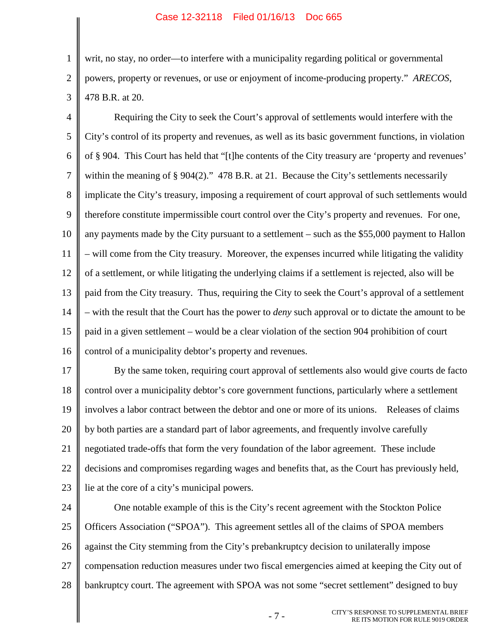1

2

3

writ, no stay, no order—to interfere with a municipality regarding political or governmental powers, property or revenues, or use or enjoyment of income-producing property." *ARECOS*, 478 B.R. at 20.

4 5 6 7 8 9 10 11 12 13 14 15 16 Requiring the City to seek the Court's approval of settlements would interfere with the City's control of its property and revenues, as well as its basic government functions, in violation of § 904. This Court has held that "[t]he contents of the City treasury are 'property and revenues' within the meaning of § 904(2)." 478 B.R. at 21. Because the City's settlements necessarily implicate the City's treasury, imposing a requirement of court approval of such settlements would therefore constitute impermissible court control over the City's property and revenues. For one, any payments made by the City pursuant to a settlement – such as the \$55,000 payment to Hallon – will come from the City treasury. Moreover, the expenses incurred while litigating the validity of a settlement, or while litigating the underlying claims if a settlement is rejected, also will be paid from the City treasury. Thus, requiring the City to seek the Court's approval of a settlement – with the result that the Court has the power to *deny* such approval or to dictate the amount to be paid in a given settlement – would be a clear violation of the section 904 prohibition of court control of a municipality debtor's property and revenues.

17 18 19 20 21 22 23 By the same token, requiring court approval of settlements also would give courts de facto control over a municipality debtor's core government functions, particularly where a settlement involves a labor contract between the debtor and one or more of its unions. Releases of claims by both parties are a standard part of labor agreements, and frequently involve carefully negotiated trade-offs that form the very foundation of the labor agreement. These include decisions and compromises regarding wages and benefits that, as the Court has previously held, lie at the core of a city's municipal powers.

24 25 26 27 28 One notable example of this is the City's recent agreement with the Stockton Police Officers Association ("SPOA"). This agreement settles all of the claims of SPOA members against the City stemming from the City's prebankruptcy decision to unilaterally impose compensation reduction measures under two fiscal emergencies aimed at keeping the City out of bankruptcy court. The agreement with SPOA was not some "secret settlement" designed to buy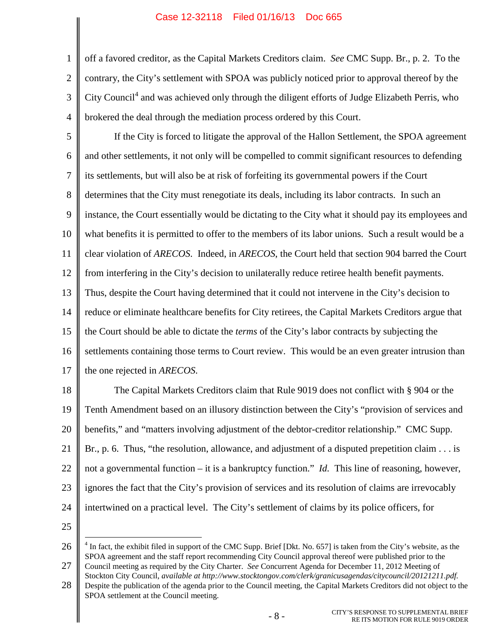4 off a favored creditor, as the Capital Markets Creditors claim. *See* CMC Supp. Br., p. 2. To the contrary, the City's settlement with SPOA was publicly noticed prior to approval thereof by the City Council<sup>[4](#page-12-1)</sup> and was achieved only through the diligent efforts of Judge Elizabeth Perris, who brokered the deal through the mediation process ordered by this Court.

5 6 7 8 9 10 11 12 13 14 15 16 17 If the City is forced to litigate the approval of the Hallon Settlement, the SPOA agreement and other settlements, it not only will be compelled to commit significant resources to defending its settlements, but will also be at risk of forfeiting its governmental powers if the Court determines that the City must renegotiate its deals, including its labor contracts. In such an instance, the Court essentially would be dictating to the City what it should pay its employees and what benefits it is permitted to offer to the members of its labor unions. Such a result would be a clear violation of *ARECOS*. Indeed, in *ARECOS*, the Court held that section 904 barred the Court from interfering in the City's decision to unilaterally reduce retiree health benefit payments. Thus, despite the Court having determined that it could not intervene in the City's decision to reduce or eliminate healthcare benefits for City retirees, the Capital Markets Creditors argue that the Court should be able to dictate the *terms* of the City's labor contracts by subjecting the settlements containing those terms to Court review. This would be an even greater intrusion than the one rejected in *ARECOS*.

18 19 20 21 22 23 24 The Capital Markets Creditors claim that Rule 9019 does not conflict with § 904 or the Tenth Amendment based on an illusory distinction between the City's "provision of services and benefits," and "matters involving adjustment of the debtor-creditor relationship." CMC Supp. Br., p. 6. Thus, "the resolution, allowance, and adjustment of a disputed prepetition claim . . . is not a governmental function – it is a bankruptcy function." *Id.* This line of reasoning, however, ignores the fact that the City's provision of services and its resolution of claims are irrevocably intertwined on a practical level. The City's settlement of claims by its police officers, for

25

1

2

3

<span id="page-12-1"></span><span id="page-12-0"></span>26 27  $4$  In fact, the exhibit filed in support of the CMC Supp. Brief [Dkt. No. 657] is taken from the City's website, as the SPOA agreement and the staff report recommending City Council approval thereof were published prior to the Council meeting as required by the City Charter. *See* Concurrent Agenda for December 11, 2012 Meeting of

28 Stockton City Council, *available at http://www.stocktongov.com/clerk/granicusagendas/citycouncil/20121211.pdf.* Despite the publication of the agenda prior to the Council meeting, the Capital Markets Creditors did not object to the SPOA settlement at the Council meeting.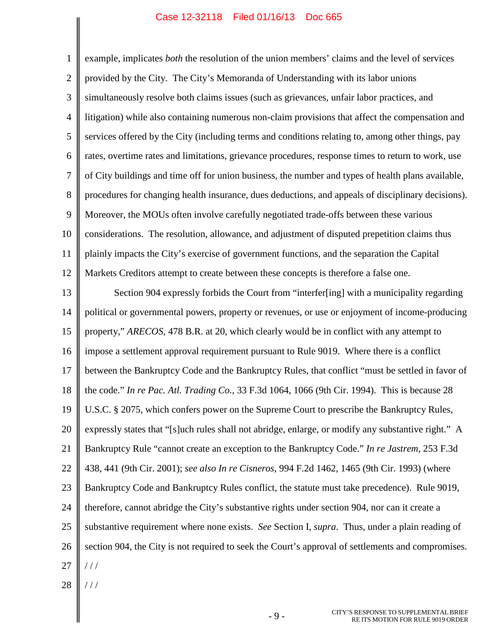1 2 3 4 5 6 7 8 9 10 11 12 example, implicates *both* the resolution of the union members' claims and the level of services provided by the City. The City's Memoranda of Understanding with its labor unions simultaneously resolve both claims issues (such as grievances, unfair labor practices, and litigation) while also containing numerous non-claim provisions that affect the compensation and services offered by the City (including terms and conditions relating to, among other things, pay rates, overtime rates and limitations, grievance procedures, response times to return to work, use of City buildings and time off for union business, the number and types of health plans available, procedures for changing health insurance, dues deductions, and appeals of disciplinary decisions). Moreover, the MOUs often involve carefully negotiated trade-offs between these various considerations. The resolution, allowance, and adjustment of disputed prepetition claims thus plainly impacts the City's exercise of government functions, and the separation the Capital Markets Creditors attempt to create between these concepts is therefore a false one.

<span id="page-13-3"></span><span id="page-13-2"></span><span id="page-13-1"></span>13 14 15 16 17 18 19 20 21 22 23 24 25 26 27 Section 904 expressly forbids the Court from "interfer[ing] with a municipality regarding political or governmental powers, property or revenues, or use or enjoyment of income-producing property," *ARECOS*, 478 B.R. at 20, which clearly would be in conflict with any attempt to impose a settlement approval requirement pursuant to Rule 9019. Where there is a conflict between the Bankruptcy Code and the Bankruptcy Rules, that conflict "must be settled in favor of the code." *In re Pac. Atl. Trading Co.*, 33 F.3d 1064, 1066 (9th Cir. 1994). This is because 28 U.S.C. § 2075, which confers power on the Supreme Court to prescribe the Bankruptcy Rules, expressly states that "[s]uch rules shall not abridge, enlarge, or modify any substantive right." A Bankruptcy Rule "cannot create an exception to the Bankruptcy Code." *In re Jastrem*, 253 F.3d 438, 441 (9th Cir. 2001); *see also In re Cisneros*, 994 F.2d 1462, 1465 (9th Cir. 1993) (where Bankruptcy Code and Bankruptcy Rules conflict, the statute must take precedence). Rule 9019, therefore, cannot abridge the City's substantive rights under section 904, nor can it create a substantive requirement where none exists. *See* Section I, *supra*. Thus, under a plain reading of section 904, the City is not required to seek the Court's approval of settlements and compromises.  $11<sup>1</sup>$ 

<span id="page-13-0"></span>28 / / /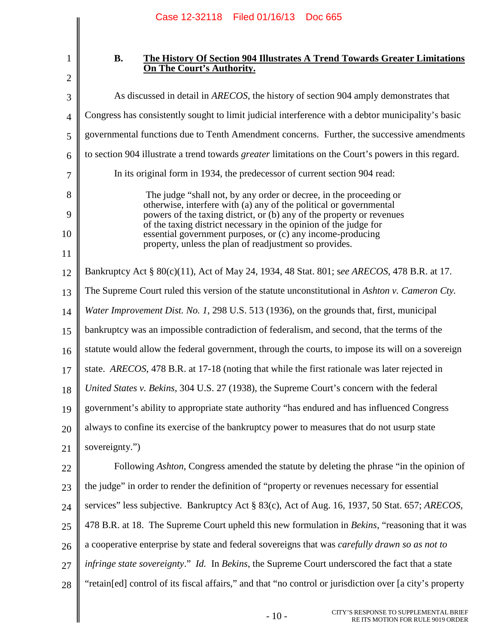| $\mathbf{1}$   |  |
|----------------|--|
| $\overline{c}$ |  |
| 3              |  |
| $\overline{4}$ |  |
| 5              |  |
| 6              |  |
| $\overline{7}$ |  |
| 8              |  |
| 9              |  |
| 10             |  |
| 11             |  |
| 12             |  |
| 13             |  |
| 14             |  |
| 15             |  |
| 16             |  |

## <span id="page-14-0"></span>**B. The History Of Section 904 Illustrates A Trend Towards Greater Limitations On The Court's Authority.**

<span id="page-14-3"></span><span id="page-14-2"></span><span id="page-14-1"></span>

| 3  | As discussed in detail in <i>ARECOS</i> , the history of section 904 amply demonstrates that                                                |
|----|---------------------------------------------------------------------------------------------------------------------------------------------|
| 4  | Congress has consistently sought to limit judicial interference with a debtor municipality's basic                                          |
| 5  | governmental functions due to Tenth Amendment concerns. Further, the successive amendments                                                  |
| 6  | to section 904 illustrate a trend towards <i>greater</i> limitations on the Court's powers in this regard.                                  |
| 7  | In its original form in 1934, the predecessor of current section 904 read:                                                                  |
| 8  | The judge "shall not, by any order or decree, in the proceeding or                                                                          |
| 9  | otherwise, interfere with (a) any of the political or governmental<br>powers of the taxing district, or (b) any of the property or revenues |
| 10 | of the taxing district necessary in the opinion of the judge for<br>essential government purposes, or (c) any income-producing              |
| 11 | property, unless the plan of readjustment so provides.                                                                                      |
| 12 | Bankruptcy Act § 80(c)(11), Act of May 24, 1934, 48 Stat. 801; see ARECOS, 478 B.R. at 17.                                                  |
| 13 | The Supreme Court ruled this version of the statute unconstitutional in Ashton v. Cameron Cty.                                              |
| 14 | Water Improvement Dist. No. 1, 298 U.S. 513 (1936), on the grounds that, first, municipal                                                   |
| 15 | bankruptcy was an impossible contradiction of federalism, and second, that the terms of the                                                 |
| 16 | statute would allow the federal government, through the courts, to impose its will on a sovereign                                           |
| 17 | state. ARECOS, 478 B.R. at 17-18 (noting that while the first rationale was later rejected in                                               |
| 18 | United States v. Bekins, 304 U.S. 27 (1938), the Supreme Court's concern with the federal                                                   |
| 19 | government's ability to appropriate state authority "has endured and has influenced Congress                                                |
| 20 | always to confine its exercise of the bankruptcy power to measures that do not usurp state                                                  |
| 21 | sovereignty.")                                                                                                                              |
| 22 | Following <i>Ashton</i> , Congress amended the statute by deleting the phrase "in the opinion of                                            |
| 23 | the judge" in order to render the definition of "property or revenues necessary for essential                                               |
| 24 | services" less subjective. Bankruptcy Act § 83(c), Act of Aug. 16, 1937, 50 Stat. 657; ARECOS,                                              |
| 25 | 478 B.R. at 18. The Supreme Court upheld this new formulation in <i>Bekins</i> , "reasoning that it was                                     |
| 26 | a cooperative enterprise by state and federal sovereigns that was <i>carefully drawn so as not to</i>                                       |
| 27 | infringe state sovereignty." Id. In Bekins, the Supreme Court underscored the fact that a state                                             |
| 28 | "retain[ed] control of its fiscal affairs," and that "no control or jurisdiction over [a city's property                                    |
|    | CITY'S RESPONSE TO SUPPLEMENTAL BRIEF<br>$-10-$<br>RE ITS MOTION FOR RULE 9019 ORDER                                                        |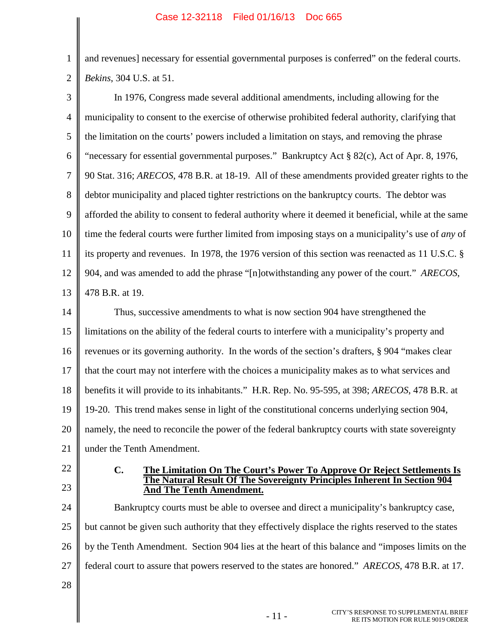<span id="page-15-0"></span>1 2 and revenues] necessary for essential governmental purposes is conferred" on the federal courts. *Bekins*, 304 U.S. at 51.

<span id="page-15-2"></span><span id="page-15-1"></span>

| 3              | In 1976, Congress made several additional amendments, including allowing for the                            |
|----------------|-------------------------------------------------------------------------------------------------------------|
| $\overline{4}$ | municipality to consent to the exercise of otherwise prohibited federal authority, clarifying that          |
| 5              | the limitation on the courts' powers included a limitation on stays, and removing the phrase                |
| 6              | "necessary for essential governmental purposes." Bankruptcy Act § 82(c), Act of Apr. 8, 1976,               |
| $\tau$         | 90 Stat. 316; ARECOS, 478 B.R. at 18-19. All of these amendments provided greater rights to the             |
| 8              | debtor municipality and placed tighter restrictions on the bankruptcy courts. The debtor was                |
| 9              | afforded the ability to consent to federal authority where it deemed it beneficial, while at the same       |
| 10             | time the federal courts were further limited from imposing stays on a municipality's use of <i>any</i> of   |
| 11             | its property and revenues. In 1978, the 1976 version of this section was reenacted as 11 U.S.C. §           |
| 12             | 904, and was amended to add the phrase "[n]otwithstanding any power of the court." ARECOS,                  |
| 13             | 478 B.R. at 19.                                                                                             |
| 14             | Thus, successive amendments to what is now section 904 have strengthened the                                |
| 15             | limitations on the ability of the federal courts to interfere with a municipality's property and            |
| 16             | revenues or its governing authority. In the words of the section's drafters, § 904 "makes clear             |
| 17             | that the court may not interfere with the choices a municipality makes as to what services and              |
| 18             | benefits it will provide to its inhabitants." H.R. Rep. No. 95-595, at 398; ARECOS, 478 B.R. at             |
| 19             | 19-20. This trend makes sense in light of the constitutional concerns underlying section 904,               |
| 20             | namely, the need to reconcile the power of the federal bankruptcy courts with state sovereignty             |
| 21             | under the Tenth Amendment.                                                                                  |
| 22             | $C_{\bullet}$<br>The Limitation On The Court's Power To Approve Or Reject Settlements Is                    |
| 23             | The Natural Result Of The Sovereignty Principles Inherent In Section 904<br><b>And The Tenth Amendment.</b> |
| 24             | Bankruptcy courts must be able to oversee and direct a municipality's bankruptcy case,                      |
| 25             | but cannot be given such authority that they effectively displace the rights reserved to the states         |
| 26             | by the Tenth Amendment. Section 904 lies at the heart of this balance and "imposes limits on the            |
| 27             | federal court to assure that powers reserved to the states are honored." ARECOS, 478 B.R. at 17.            |
| 28             |                                                                                                             |
|                | CITY'S RESPONSE TO SUPPLEMENTAL BRIEF<br>$-11-$<br>RE ITS MOTION FOR RULE 9019 ORDER                        |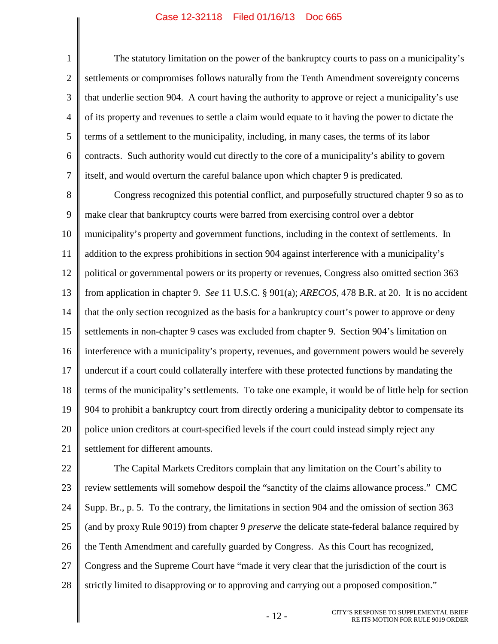1

2 3 4 5 6 7 The statutory limitation on the power of the bankruptcy courts to pass on a municipality's settlements or compromises follows naturally from the Tenth Amendment sovereignty concerns that underlie section 904. A court having the authority to approve or reject a municipality's use of its property and revenues to settle a claim would equate to it having the power to dictate the terms of a settlement to the municipality, including, in many cases, the terms of its labor contracts. Such authority would cut directly to the core of a municipality's ability to govern itself, and would overturn the careful balance upon which chapter 9 is predicated.

8 9 10 11 12 13 14 15 16 17 18 19 20 21 Congress recognized this potential conflict, and purposefully structured chapter 9 so as to make clear that bankruptcy courts were barred from exercising control over a debtor municipality's property and government functions, including in the context of settlements. In addition to the express prohibitions in section 904 against interference with a municipality's political or governmental powers or its property or revenues, Congress also omitted section 363 from application in chapter 9. *See* 11 U.S.C. § 901(a); *ARECOS*, 478 B.R. at 20. It is no accident that the only section recognized as the basis for a bankruptcy court's power to approve or deny settlements in non-chapter 9 cases was excluded from chapter 9. Section 904's limitation on interference with a municipality's property, revenues, and government powers would be severely undercut if a court could collaterally interfere with these protected functions by mandating the terms of the municipality's settlements. To take one example, it would be of little help for section 904 to prohibit a bankruptcy court from directly ordering a municipality debtor to compensate its police union creditors at court-specified levels if the court could instead simply reject any settlement for different amounts.

22 23 24 25 26 27 28 The Capital Markets Creditors complain that any limitation on the Court's ability to review settlements will somehow despoil the "sanctity of the claims allowance process." CMC Supp. Br., p. 5. To the contrary, the limitations in section 904 and the omission of section 363 (and by proxy Rule 9019) from chapter 9 *preserve* the delicate state-federal balance required by the Tenth Amendment and carefully guarded by Congress. As this Court has recognized, Congress and the Supreme Court have "made it very clear that the jurisdiction of the court is strictly limited to disapproving or to approving and carrying out a proposed composition."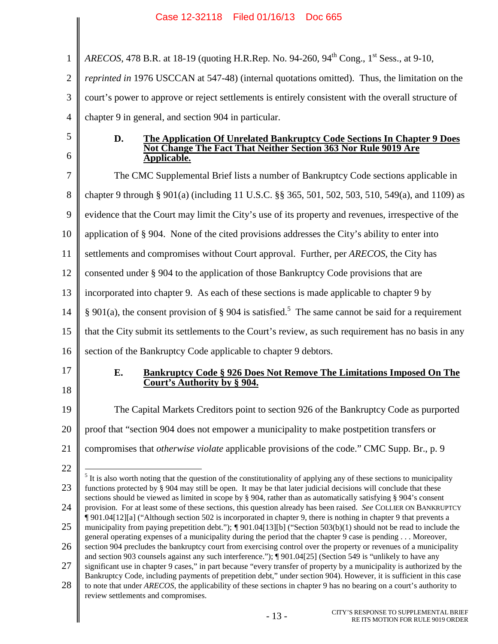1 2 3 4 5 6 7 8 *ARECOS*, 478 B.R. at 18-19 (quoting H.R.Rep. No. 94-260, 94<sup>th</sup> Cong., 1<sup>st</sup> Sess., at 9-10, *reprinted in* 1976 USCCAN at 547-48) (internal quotations omitted). Thus, the limitation on the court's power to approve or reject settlements is entirely consistent with the overall structure of chapter 9 in general, and section 904 in particular. **D. The Application Of Unrelated Bankruptcy Code Sections In Chapter 9 Does Not Change The Fact That Neither Section 363 Nor Rule 9019 Are Applicable.** The CMC Supplemental Brief lists a number of Bankruptcy Code sections applicable in chapter 9 through § 901(a) (including 11 U.S.C. §§ 365, 501, 502, 503, 510, 549(a), and 1109) as

9 evidence that the Court may limit the City's use of its property and revenues, irrespective of the

10 application of § 904. None of the cited provisions addresses the City's ability to enter into

11 settlements and compromises without Court approval. Further, per *ARECOS*, the City has

12 consented under § 904 to the application of those Bankruptcy Code provisions that are

13 incorporated into chapter 9. As each of these sections is made applicable to chapter 9 by

14 § 901(a), the consent provision of § 904 is satisfied.<sup>[5](#page-17-1)</sup> The same cannot be said for a requirement

15 that the City submit its settlements to the Court's review, as such requirement has no basis in any

16 section of the Bankruptcy Code applicable to chapter 9 debtors.

17 18

<span id="page-17-1"></span>22

### <span id="page-17-0"></span>**E. Bankruptcy Code § 926 Does Not Remove The Limitations Imposed On The Court's Authority by § 904.**

19 20 The Capital Markets Creditors point to section 926 of the Bankruptcy Code as purported proof that "section 904 does not empower a municipality to make postpetition transfers or

21 compromises that *otherwise violate* applicable provisions of the code." CMC Supp. Br., p. 9

<sup>23</sup> 24 25  $<sup>5</sup>$  It is also worth noting that the question of the constitutionality of applying any of these sections to municipality</sup> functions protected by § 904 may still be open. It may be that later judicial decisions will conclude that these sections should be viewed as limited in scope by § 904, rather than as automatically satisfying § 904's consent provision. For at least some of these sections, this question already has been raised. *See* COLLIER ON BANKRUPTCY ¶ 901.04[12][a] ("Although section 502 is incorporated in chapter 9, there is nothing in chapter 9 that prevents a municipality from paying prepetition debt."); *¶* 901.04[13][b] ("Section 503(b)(1) should not be read to include the

<sup>26</sup> 27 general operating expenses of a municipality during the period that the chapter 9 case is pending . . . Moreover, section 904 precludes the bankruptcy court from exercising control over the property or revenues of a municipality and section 903 counsels against any such interference."); ¶ 901.04[25] (Section 549 is "unlikely to have any

<sup>28</sup> significant use in chapter 9 cases," in part because "every transfer of property by a municipality is authorized by the Bankruptcy Code, including payments of prepetition debt," under section 904). However, it is sufficient in this case to note that under *ARECOS*, the applicability of these sections in chapter 9 has no bearing on a court's authority to

review settlements and compromises.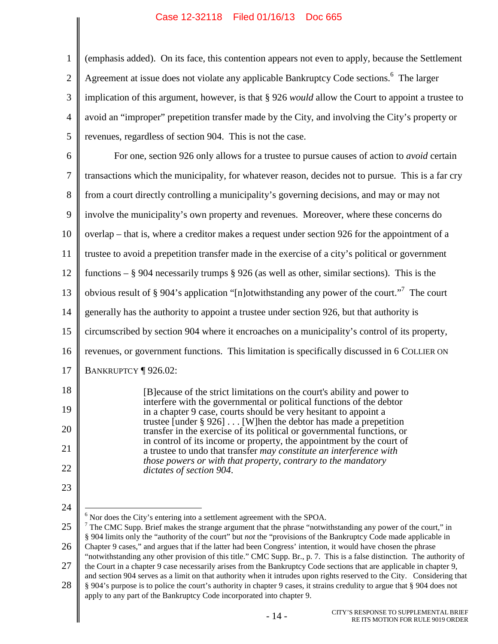<span id="page-18-3"></span><span id="page-18-2"></span><span id="page-18-1"></span><span id="page-18-0"></span>

|                | Case 12-32110 Filed 01/10/13 DOC 003                                                                                                                                                                                                                                                                                         |
|----------------|------------------------------------------------------------------------------------------------------------------------------------------------------------------------------------------------------------------------------------------------------------------------------------------------------------------------------|
| $\mathbf{1}$   | (emphasis added). On its face, this contention appears not even to apply, because the Settlement                                                                                                                                                                                                                             |
| $\mathbf{2}$   | Agreement at issue does not violate any applicable Bankruptcy Code sections. <sup>6</sup> The larger                                                                                                                                                                                                                         |
| 3              | implication of this argument, however, is that § 926 <i>would</i> allow the Court to appoint a trustee to                                                                                                                                                                                                                    |
| $\overline{4}$ | avoid an "improper" prepetition transfer made by the City, and involving the City's property or                                                                                                                                                                                                                              |
| 5              | revenues, regardless of section 904. This is not the case.                                                                                                                                                                                                                                                                   |
| 6              | For one, section 926 only allows for a trustee to pursue causes of action to <i>avoid</i> certain                                                                                                                                                                                                                            |
| 7              | transactions which the municipality, for whatever reason, decides not to pursue. This is a far cry                                                                                                                                                                                                                           |
| 8              | from a court directly controlling a municipality's governing decisions, and may or may not                                                                                                                                                                                                                                   |
| 9              | involve the municipality's own property and revenues. Moreover, where these concerns do                                                                                                                                                                                                                                      |
| 10             | overlap – that is, where a creditor makes a request under section 926 for the appointment of a                                                                                                                                                                                                                               |
| 11             | trustee to avoid a prepetition transfer made in the exercise of a city's political or government                                                                                                                                                                                                                             |
| 12             | functions $-$ § 904 necessarily trumps § 926 (as well as other, similar sections). This is the                                                                                                                                                                                                                               |
| 13             | obvious result of § 904's application "[n]otwithstanding any power of the court." <sup>7</sup> The court                                                                                                                                                                                                                     |
| 14             | generally has the authority to appoint a trustee under section 926, but that authority is                                                                                                                                                                                                                                    |
| 15             | circumscribed by section 904 where it encroaches on a municipality's control of its property,                                                                                                                                                                                                                                |
| 16             | revenues, or government functions. This limitation is specifically discussed in 6 COLLIER ON                                                                                                                                                                                                                                 |
| 17             | BANKRUPTCY   926.02:                                                                                                                                                                                                                                                                                                         |
| 18             | [B] ecause of the strict limitations on the court's ability and power to                                                                                                                                                                                                                                                     |
| 19             | interfere with the governmental or political functions of the debtor<br>in a chapter 9 case, courts should be very hesitant to appoint a                                                                                                                                                                                     |
| 20             | trustee [under $\S 926$ ]  [W] hen the debtor has made a prepetition<br>transfer in the exercise of its political or governmental functions, or                                                                                                                                                                              |
| 21             | in control of its income or property, the appointment by the court of<br>a trustee to undo that transfer may constitute an interference with                                                                                                                                                                                 |
| 22             | those powers or with that property, contrary to the mandatory<br>dictates of section 904.                                                                                                                                                                                                                                    |
| 23             |                                                                                                                                                                                                                                                                                                                              |
| 24             |                                                                                                                                                                                                                                                                                                                              |
| 25             | Nor does the City's entering into a settlement agreement with the SPOA.<br>$\frac{7}{7}$ The CMC Supp. Brief makes the strange argument that the phrase "notwithstanding any power of the court," in                                                                                                                         |
| 26             | § 904 limits only the "authority of the court" but not the "provisions of the Bankruptcy Code made applicable in<br>Chapter 9 cases," and argues that if the latter had been Congress' intention, it would have chosen the phrase                                                                                            |
| 27             | "notwithstanding any other provision of this title." CMC Supp. Br., p. 7. This is a false distinction. The authority of<br>the Court in a chapter 9 case necessarily arises from the Bankruptcy Code sections that are applicable in chapter 9,                                                                              |
| 28             | and section 904 serves as a limit on that authority when it intrudes upon rights reserved to the City. Considering that<br>§ 904's purpose is to police the court's authority in chapter 9 cases, it strains credulity to argue that § 904 does not<br>apply to any part of the Bankruptcy Code incorporated into chapter 9. |
|                | CITY'S RESPONSE TO SUPPLEMENTAL BRIEF<br>$-14-$<br>RE ITS MOTION FOR RULE 9019 ORDER                                                                                                                                                                                                                                         |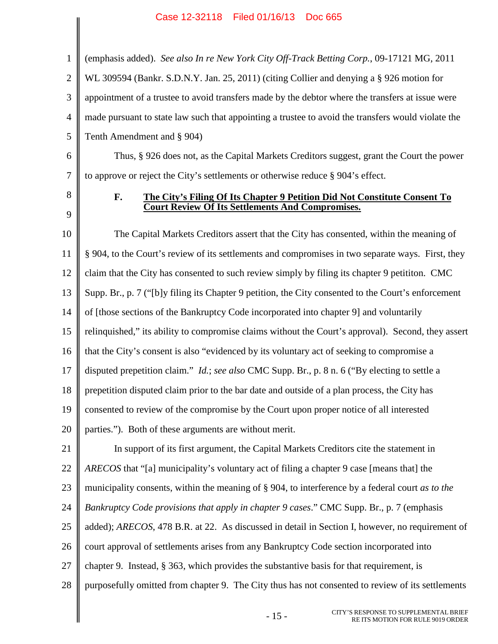<span id="page-19-0"></span>1 2 3 4 5 (emphasis added). *See also In re New York City Off-Track Betting Corp.*, 09-17121 MG, 2011 WL 309594 (Bankr. S.D.N.Y. Jan. 25, 2011) (citing Collier and denying a § 926 motion for appointment of a trustee to avoid transfers made by the debtor where the transfers at issue were made pursuant to state law such that appointing a trustee to avoid the transfers would violate the Tenth Amendment and § 904)

6 7 Thus, § 926 does not, as the Capital Markets Creditors suggest, grant the Court the power to approve or reject the City's settlements or otherwise reduce § 904's effect.

8 9

### <span id="page-19-1"></span>**F. The City's Filing Of Its Chapter 9 Petition Did Not Constitute Consent To Court Review Of Its Settlements And Compromises.**

10 11 12 13 14 15 16 17 18 19 20 The Capital Markets Creditors assert that the City has consented, within the meaning of § 904, to the Court's review of its settlements and compromises in two separate ways. First, they claim that the City has consented to such review simply by filing its chapter 9 petititon. CMC Supp. Br., p. 7 ("[b]y filing its Chapter 9 petition, the City consented to the Court's enforcement of [those sections of the Bankruptcy Code incorporated into chapter 9] and voluntarily relinquished," its ability to compromise claims without the Court's approval). Second, they assert that the City's consent is also "evidenced by its voluntary act of seeking to compromise a disputed prepetition claim." *Id.*; *see also* CMC Supp. Br., p. 8 n. 6 ("By electing to settle a prepetition disputed claim prior to the bar date and outside of a plan process, the City has consented to review of the compromise by the Court upon proper notice of all interested parties."). Both of these arguments are without merit.

21 22 23 24 25 26 27 28 In support of its first argument, the Capital Markets Creditors cite the statement in *ARECOS* that "[a] municipality's voluntary act of filing a chapter 9 case [means that] the municipality consents, within the meaning of § 904, to interference by a federal court *as to the Bankruptcy Code provisions that apply in chapter 9 cases*." CMC Supp. Br., p. 7 (emphasis added); *ARECOS*, 478 B.R. at 22. As discussed in detail in Section I, however, no requirement of court approval of settlements arises from any Bankruptcy Code section incorporated into chapter 9. Instead, § 363, which provides the substantive basis for that requirement, is purposefully omitted from chapter 9. The City thus has not consented to review of its settlements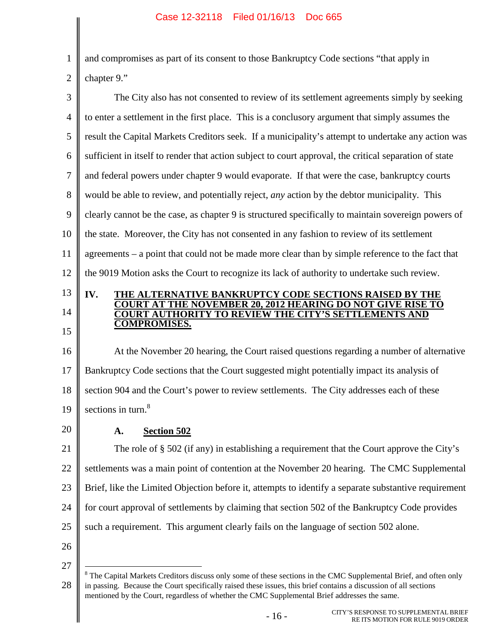and compromises as part of its consent to those Bankruptcy Code sections "that apply in chapter 9."

3 4 5 6 7 8 9 10 11 12 The City also has not consented to review of its settlement agreements simply by seeking to enter a settlement in the first place. This is a conclusory argument that simply assumes the result the Capital Markets Creditors seek. If a municipality's attempt to undertake any action was sufficient in itself to render that action subject to court approval, the critical separation of state and federal powers under chapter 9 would evaporate. If that were the case, bankruptcy courts would be able to review, and potentially reject, *any* action by the debtor municipality. This clearly cannot be the case, as chapter 9 is structured specifically to maintain sovereign powers of the state. Moreover, the City has not consented in any fashion to review of its settlement agreements – a point that could not be made more clear than by simple reference to the fact that the 9019 Motion asks the Court to recognize its lack of authority to undertake such review.

# 13 14

15

1

2

#### **IV. THE ALTERNATIVE BANKRUPTCY CODE SECTIONS RAISED BY THE COURT AT THE NOVEMBER 20, 2012 HEARING DO NOT GIVE RISE TO COURT AUTHORITY TO REVIEW THE CITY'S SETTLEMENTS AND COMPROMISES.**

16 17 18 19 At the November 20 hearing, the Court raised questions regarding a number of alternative Bankruptcy Code sections that the Court suggested might potentially impact its analysis of section 904 and the Court's power to review settlements. The City addresses each of these sectionsin turn[.](#page-20-1)<sup>8</sup>

20

## <span id="page-20-0"></span>**A. Section 502**

21 22 23 24 25 The role of § 502 (if any) in establishing a requirement that the Court approve the City's settlements was a main point of contention at the November 20 hearing. The CMC Supplemental Brief, like the Limited Objection before it, attempts to identify a separate substantive requirement for court approval of settlements by claiming that section 502 of the Bankruptcy Code provides such a requirement. This argument clearly fails on the language of section 502 alone.

26

<span id="page-20-1"></span><sup>28</sup> <sup>8</sup> The Capital Markets Creditors discuss only some of these sections in the CMC Supplemental Brief, and often only in passing. Because the Court specifically raised these issues, this brief contains a discussion of all sections mentioned by the Court, regardless of whether the CMC Supplemental Brief addresses the same.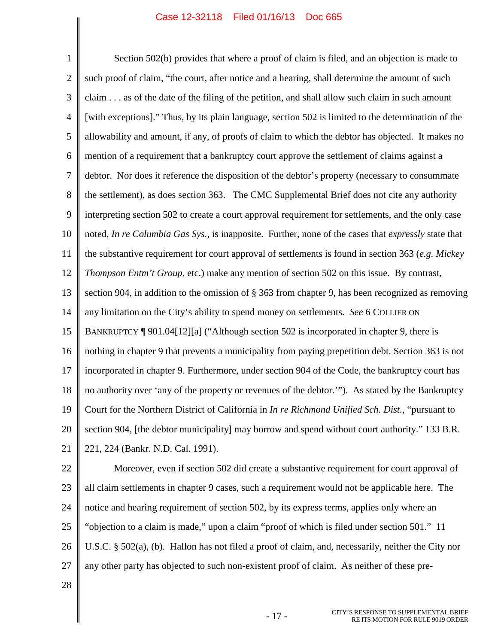1 2 3 4 5 6 7 8 9 10 11 12 13 14 15 16 17 18 19 20 21 Section 502(b) provides that where a proof of claim is filed, and an objection is made to such proof of claim, "the court, after notice and a hearing, shall determine the amount of such claim . . . as of the date of the filing of the petition, and shall allow such claim in such amount [with exceptions]." Thus, by its plain language, section 502 is limited to the determination of the allowability and amount, if any, of proofs of claim to which the debtor has objected. It makes no mention of a requirement that a bankruptcy court approve the settlement of claims against a debtor. Nor does it reference the disposition of the debtor's property (necessary to consummate the settlement), as does section 363. The CMC Supplemental Brief does not cite any authority interpreting section 502 to create a court approval requirement for settlements, and the only case noted, *In re Columbia Gas Sys.*, is inapposite. Further, none of the cases that *expressly* state that the substantive requirement for court approval of settlements is found in section 363 (*e.g. Mickey Thompson Entm't Group*, etc.) make any mention of section 502 on this issue. By contrast, section 904, in addition to the omission of § 363 from chapter 9, has been recognized as removing any limitation on the City's ability to spend money on settlements. *See* 6 COLLIER ON BANKRUPTCY ¶ 901.04[12][a] ("Although section 502 is incorporated in chapter 9, there is nothing in chapter 9 that prevents a municipality from paying prepetition debt. Section 363 is not incorporated in chapter 9. Furthermore, under section 904 of the Code, the bankruptcy court has no authority over 'any of the property or revenues of the debtor.'"). As stated by the Bankruptcy Court for the Northern District of California in *In re Richmond Unified Sch. Dist.*, "pursuant to section 904, [the debtor municipality] may borrow and spend without court authority." 133 B.R. 221, 224 (Bankr. N.D. Cal. 1991).

<span id="page-21-0"></span>22 23 24 25 26 27 Moreover, even if section 502 did create a substantive requirement for court approval of all claim settlements in chapter 9 cases, such a requirement would not be applicable here. The notice and hearing requirement of section 502, by its express terms, applies only where an "objection to a claim is made," upon a claim "proof of which is filed under section 501." 11 U.S.C. § 502(a), (b). Hallon has not filed a proof of claim, and, necessarily, neither the City nor any other party has objected to such non-existent proof of claim. As neither of these pre-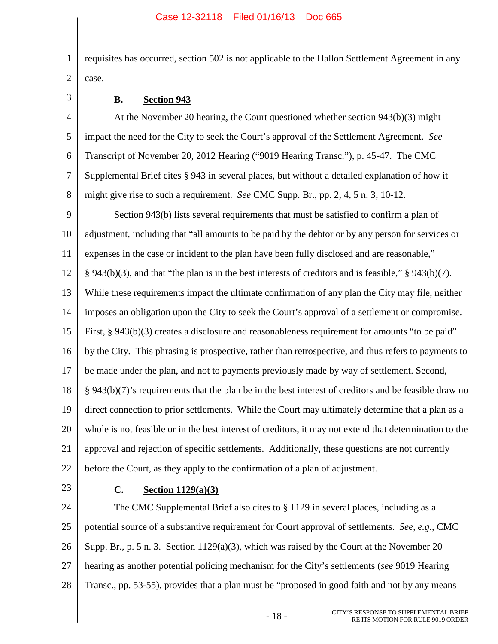1 2 requisites has occurred, section 502 is not applicable to the Hallon Settlement Agreement in any case.

3

## **B. Section 943**

4 5 6 7 8 At the November 20 hearing, the Court questioned whether section 943(b)(3) might impact the need for the City to seek the Court's approval of the Settlement Agreement. *See* Transcript of November 20, 2012 Hearing ("9019 Hearing Transc."), p. 45-47. The CMC Supplemental Brief cites § 943 in several places, but without a detailed explanation of how it might give rise to such a requirement. *See* CMC Supp. Br., pp. 2, 4, 5 n. 3, 10-12.

9 10 11 12 13 14 15 16 17 18 19 20 21 22 Section 943(b) lists several requirements that must be satisfied to confirm a plan of adjustment, including that "all amounts to be paid by the debtor or by any person for services or expenses in the case or incident to the plan have been fully disclosed and are reasonable," § 943(b)(3), and that "the plan is in the best interests of creditors and is feasible," § 943(b)(7). While these requirements impact the ultimate confirmation of any plan the City may file, neither imposes an obligation upon the City to seek the Court's approval of a settlement or compromise. First, § 943(b)(3) creates a disclosure and reasonableness requirement for amounts "to be paid" by the City. This phrasing is prospective, rather than retrospective, and thus refers to payments to be made under the plan, and not to payments previously made by way of settlement. Second, § 943(b)(7)'s requirements that the plan be in the best interest of creditors and be feasible draw no direct connection to prior settlements. While the Court may ultimately determine that a plan as a whole is not feasible or in the best interest of creditors, it may not extend that determination to the approval and rejection of specific settlements. Additionally, these questions are not currently before the Court, as they apply to the confirmation of a plan of adjustment.

23

## **C. Section 1129(a)(3)**

24 25 26 27 28 The CMC Supplemental Brief also cites to § 1129 in several places, including as a potential source of a substantive requirement for Court approval of settlements. *See, e.g.*, CMC Supp. Br., p. 5 n. 3. Section 1129(a)(3), which was raised by the Court at the November 20 hearing as another potential policing mechanism for the City's settlements (*see* 9019 Hearing Transc., pp. 53-55), provides that a plan must be "proposed in good faith and not by any means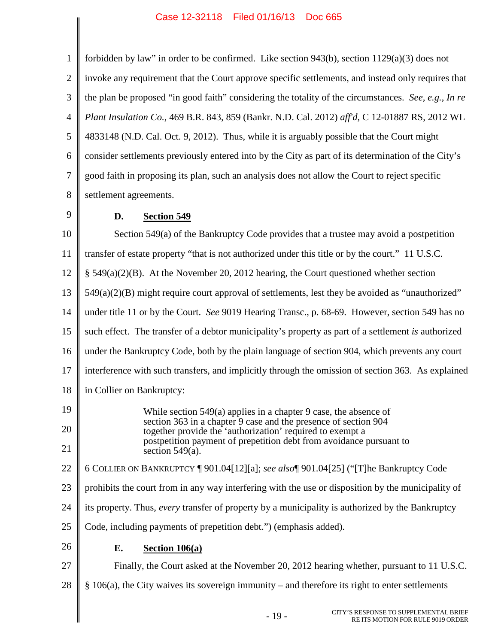<span id="page-23-1"></span><span id="page-23-0"></span> $\mathsf{l}$ 

<span id="page-23-2"></span>

| $\mathbf{1}$   | forbidden by law" in order to be confirmed. Like section $943(b)$ , section $1129(a)(3)$ does not                            |  |  |  |  |  |
|----------------|------------------------------------------------------------------------------------------------------------------------------|--|--|--|--|--|
| $\overline{2}$ | invoke any requirement that the Court approve specific settlements, and instead only requires that                           |  |  |  |  |  |
| 3              | the plan be proposed "in good faith" considering the totality of the circumstances. See, e.g., In re                         |  |  |  |  |  |
| $\overline{4}$ | Plant Insulation Co., 469 B.R. 843, 859 (Bankr. N.D. Cal. 2012) aff'd, C 12-01887 RS, 2012 WL                                |  |  |  |  |  |
| $\mathfrak{S}$ | 4833148 (N.D. Cal. Oct. 9, 2012). Thus, while it is arguably possible that the Court might                                   |  |  |  |  |  |
| 6              | consider settlements previously entered into by the City as part of its determination of the City's                          |  |  |  |  |  |
| $\tau$         | good faith in proposing its plan, such an analysis does not allow the Court to reject specific                               |  |  |  |  |  |
| 8              | settlement agreements.                                                                                                       |  |  |  |  |  |
| 9              | D.<br>Section 549                                                                                                            |  |  |  |  |  |
| 10             | Section 549(a) of the Bankruptcy Code provides that a trustee may avoid a postpetition                                       |  |  |  |  |  |
| 11             | transfer of estate property "that is not authorized under this title or by the court." 11 U.S.C.                             |  |  |  |  |  |
| 12             | $\S$ 549(a)(2)(B). At the November 20, 2012 hearing, the Court questioned whether section                                    |  |  |  |  |  |
| 13             | $549(a)(2)(B)$ might require court approval of settlements, lest they be avoided as "unauthorized"                           |  |  |  |  |  |
| 14             | under title 11 or by the Court. See 9019 Hearing Transc., p. 68-69. However, section 549 has no                              |  |  |  |  |  |
| 15             | such effect. The transfer of a debtor municipality's property as part of a settlement is authorized                          |  |  |  |  |  |
| 16             | under the Bankruptcy Code, both by the plain language of section 904, which prevents any court                               |  |  |  |  |  |
| 17             | interference with such transfers, and implicitly through the omission of section 363. As explained                           |  |  |  |  |  |
| 18             | in Collier on Bankruptcy:                                                                                                    |  |  |  |  |  |
| 19             | While section $549(a)$ applies in a chapter 9 case, the absence of                                                           |  |  |  |  |  |
| 20             | section 363 in a chapter 9 case and the presence of section 904<br>together provide the 'authorization' required to exempt a |  |  |  |  |  |
| 21             | postpetition payment of prepetition debt from avoidance pursuant to<br>section $549(a)$ .                                    |  |  |  |  |  |
| 22             | 6 COLLIER ON BANKRUPTCY [901.04[12][a]; see also [901.04[25] ("[T]he Bankruptcy Code                                         |  |  |  |  |  |
| 23             | prohibits the court from in any way interfering with the use or disposition by the municipality of                           |  |  |  |  |  |
| 24             | its property. Thus, every transfer of property by a municipality is authorized by the Bankruptcy                             |  |  |  |  |  |
| 25             | Code, including payments of prepetition debt.") (emphasis added).                                                            |  |  |  |  |  |
| 26             | Е.<br>Section $106(a)$                                                                                                       |  |  |  |  |  |
| 27             | Finally, the Court asked at the November 20, 2012 hearing whether, pursuant to 11 U.S.C.                                     |  |  |  |  |  |
| 28             | § 106(a), the City waives its sovereign immunity - and therefore its right to enter settlements                              |  |  |  |  |  |
|                | CITY'S RESPONSE TO SUPPLEMENTAL BRIEF<br>$-19-$<br>RE ITS MOTION FOR RULE 9019 ORDER                                         |  |  |  |  |  |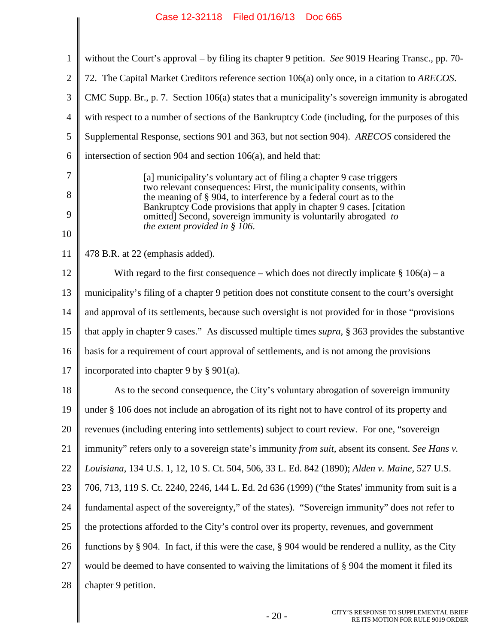<span id="page-24-2"></span><span id="page-24-1"></span><span id="page-24-0"></span>

| 1              | without the Court's approval – by filing its chapter 9 petition. See 9019 Hearing Transc., pp. 70-                                                                                                                                                                                   |  |  |  |  |  |  |
|----------------|--------------------------------------------------------------------------------------------------------------------------------------------------------------------------------------------------------------------------------------------------------------------------------------|--|--|--|--|--|--|
| $\overline{2}$ | 72. The Capital Market Creditors reference section 106(a) only once, in a citation to ARECOS.                                                                                                                                                                                        |  |  |  |  |  |  |
| 3              | CMC Supp. Br., p. 7. Section 106(a) states that a municipality's sovereign immunity is abrogated                                                                                                                                                                                     |  |  |  |  |  |  |
| $\overline{4}$ | with respect to a number of sections of the Bankruptcy Code (including, for the purposes of this                                                                                                                                                                                     |  |  |  |  |  |  |
| 5              | Supplemental Response, sections 901 and 363, but not section 904). ARECOS considered the                                                                                                                                                                                             |  |  |  |  |  |  |
| 6              | intersection of section 904 and section 106(a), and held that:                                                                                                                                                                                                                       |  |  |  |  |  |  |
| 7              | [a] municipality's voluntary act of filing a chapter 9 case triggers                                                                                                                                                                                                                 |  |  |  |  |  |  |
| 8              | two relevant consequences: First, the municipality consents, within<br>the meaning of § 904, to interference by a federal court as to the<br>Bankruptcy Code provisions that apply in chapter 9 cases. [citation]<br>omitted] Second, sovereign immunity is voluntarily abrogated to |  |  |  |  |  |  |
| 9              |                                                                                                                                                                                                                                                                                      |  |  |  |  |  |  |
| 10             | the extent provided in $§$ 106.                                                                                                                                                                                                                                                      |  |  |  |  |  |  |
| 11             | 478 B.R. at 22 (emphasis added).                                                                                                                                                                                                                                                     |  |  |  |  |  |  |
| 12             | With regard to the first consequence – which does not directly implicate $\S 106(a)$ – a                                                                                                                                                                                             |  |  |  |  |  |  |
| 13             | municipality's filing of a chapter 9 petition does not constitute consent to the court's oversight                                                                                                                                                                                   |  |  |  |  |  |  |
| 14             | and approval of its settlements, because such oversight is not provided for in those "provisions"                                                                                                                                                                                    |  |  |  |  |  |  |
| 15             | that apply in chapter 9 cases." As discussed multiple times <i>supra</i> , § 363 provides the substantive                                                                                                                                                                            |  |  |  |  |  |  |
| 16             | basis for a requirement of court approval of settlements, and is not among the provisions                                                                                                                                                                                            |  |  |  |  |  |  |
| 17             | incorporated into chapter 9 by $\S 901(a)$ .                                                                                                                                                                                                                                         |  |  |  |  |  |  |
| 18             | As to the second consequence, the City's voluntary abrogation of sovereign immunity                                                                                                                                                                                                  |  |  |  |  |  |  |
| 19             | under § 106 does not include an abrogation of its right not to have control of its property and                                                                                                                                                                                      |  |  |  |  |  |  |
| 20             | revenues (including entering into settlements) subject to court review. For one, "sovereign                                                                                                                                                                                          |  |  |  |  |  |  |
| 21             | immunity" refers only to a sovereign state's immunity from suit, absent its consent. See Hans v.                                                                                                                                                                                     |  |  |  |  |  |  |
| 22             | Louisiana, 134 U.S. 1, 12, 10 S. Ct. 504, 506, 33 L. Ed. 842 (1890); Alden v. Maine, 527 U.S.                                                                                                                                                                                        |  |  |  |  |  |  |
| 23             | 706, 713, 119 S. Ct. 2240, 2246, 144 L. Ed. 2d 636 (1999) ("the States' immunity from suit is a                                                                                                                                                                                      |  |  |  |  |  |  |
| 24             | fundamental aspect of the sovereignty," of the states). "Sovereign immunity" does not refer to                                                                                                                                                                                       |  |  |  |  |  |  |
| 25             | the protections afforded to the City's control over its property, revenues, and government                                                                                                                                                                                           |  |  |  |  |  |  |
| 26             | functions by $\S$ 904. In fact, if this were the case, $\S$ 904 would be rendered a nullity, as the City                                                                                                                                                                             |  |  |  |  |  |  |
| 27             | would be deemed to have consented to waiving the limitations of $\S$ 904 the moment it filed its                                                                                                                                                                                     |  |  |  |  |  |  |
| 28             | chapter 9 petition.                                                                                                                                                                                                                                                                  |  |  |  |  |  |  |
|                | CITY'S RESPONSE TO SUPPLEMENTAL BRIEF<br>$-20-$<br>RE ITS MOTION FOR RHI E 9019 ORDER                                                                                                                                                                                                |  |  |  |  |  |  |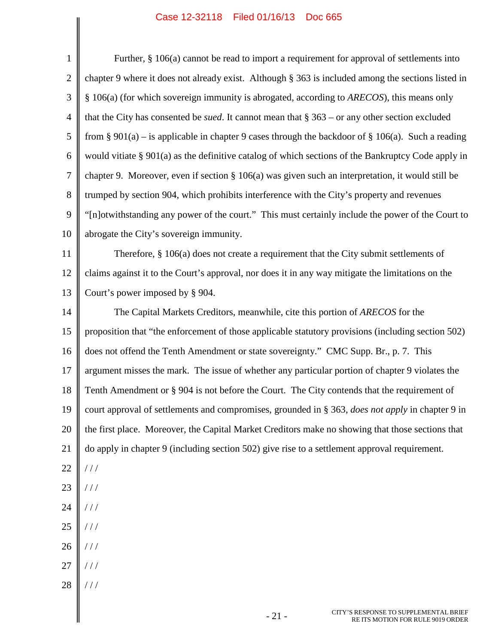<span id="page-25-0"></span>

| $\mathbf{1}$   | Further, $§$ 106(a) cannot be read to import a requirement for approval of settlements into               |  |  |  |  |  |  |
|----------------|-----------------------------------------------------------------------------------------------------------|--|--|--|--|--|--|
| $\overline{2}$ | chapter 9 where it does not already exist. Although § 363 is included among the sections listed in        |  |  |  |  |  |  |
| 3              | § 106(a) (for which sovereign immunity is abrogated, according to ARECOS), this means only                |  |  |  |  |  |  |
| $\overline{4}$ | that the City has consented be <i>sued</i> . It cannot mean that $\S 363$ – or any other section excluded |  |  |  |  |  |  |
| 5              | from § 901(a) – is applicable in chapter 9 cases through the backdoor of § 106(a). Such a reading         |  |  |  |  |  |  |
| 6              | would vitiate § 901(a) as the definitive catalog of which sections of the Bankruptcy Code apply in        |  |  |  |  |  |  |
| $\tau$         | chapter 9. Moreover, even if section $\S 106(a)$ was given such an interpretation, it would still be      |  |  |  |  |  |  |
| 8              | trumped by section 904, which prohibits interference with the City's property and revenues                |  |  |  |  |  |  |
| 9              | "[n]otwithstanding any power of the court." This must certainly include the power of the Court to         |  |  |  |  |  |  |
| 10             | abrogate the City's sovereign immunity.                                                                   |  |  |  |  |  |  |
| 11             | Therefore, $\S$ 106(a) does not create a requirement that the City submit settlements of                  |  |  |  |  |  |  |
| 12             | claims against it to the Court's approval, nor does it in any way mitigate the limitations on the         |  |  |  |  |  |  |
| 13             | Court's power imposed by § 904.                                                                           |  |  |  |  |  |  |
| 14             | The Capital Markets Creditors, meanwhile, cite this portion of ARECOS for the                             |  |  |  |  |  |  |
| 15             | proposition that "the enforcement of those applicable statutory provisions (including section 502)        |  |  |  |  |  |  |
| 16             | does not offend the Tenth Amendment or state sovereignty." CMC Supp. Br., p. 7. This                      |  |  |  |  |  |  |
| 17             | argument misses the mark. The issue of whether any particular portion of chapter 9 violates the           |  |  |  |  |  |  |
| 18             | Tenth Amendment or § 904 is not before the Court. The City contends that the requirement of               |  |  |  |  |  |  |
| 19             | court approval of settlements and compromises, grounded in § 363, does not apply in chapter 9 in          |  |  |  |  |  |  |
| 20             | the first place. Moreover, the Capital Market Creditors make no showing that those sections that          |  |  |  |  |  |  |
| 21             | do apply in chapter 9 (including section 502) give rise to a settlement approval requirement.             |  |  |  |  |  |  |
| 22             | $\frac{1}{2}$                                                                                             |  |  |  |  |  |  |
| 23             | //                                                                                                        |  |  |  |  |  |  |
| 24             | //                                                                                                        |  |  |  |  |  |  |
| 25             | //                                                                                                        |  |  |  |  |  |  |
| 26             | //                                                                                                        |  |  |  |  |  |  |
| 27             | //                                                                                                        |  |  |  |  |  |  |
| 28             | //                                                                                                        |  |  |  |  |  |  |
|                | CITY'S RESPONSE TO SUPPLEMENTAL BRIEF<br>$-21-$<br>RE ITS MOTION FOR RULE 9019 ORDER                      |  |  |  |  |  |  |